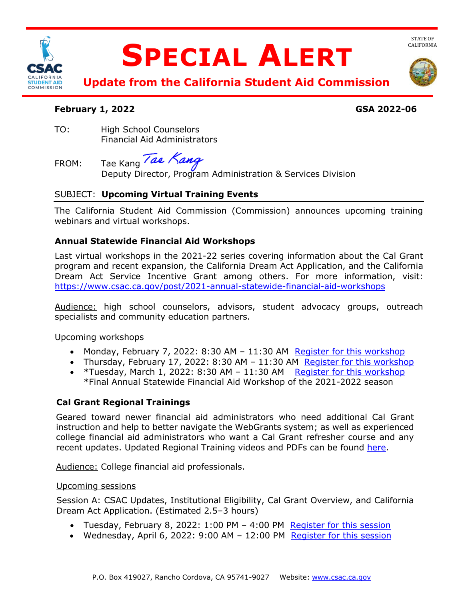

# **SPECIAL ALERT**



 **Update from the California Student Aid Commission** 

#### **February 1, 2022 GSA 2022-06**

 Financial Aid Administrators TO: High School Counselors

FROM: Deputy Director, Program Administration & Services Division Tae Kang Tae Kang

# SUBJECT: **Upcoming Virtual Training Events**

 The California Student Aid Commission (Commission) announces upcoming training webinars and virtual workshops.

### **Annual Statewide Financial Aid Workshops**

 Last virtual workshops in the 2021-22 series covering information about the Cal Grant Dream Act Service Incentive Grant among others. For more information, visit: program and recent expansion, the California Dream Act Application, and the California <https://www.csac.ca.gov/post/2021-annual-statewide-financial-aid-workshops>

Audience: high school counselors, advisors, student advocacy groups, outreach specialists and community education partners.

Upcoming workshops

- Monday, February 7, 2022: 8:30 AM 11:30 AM Register for this workshop
- Thursday, February 17, 2022: 8:30 AM 11:30 AM Register for this workshop
- \*Tuesday, March 1, 2022: 8:30 AM 11:30 AM Register for this workshop \*Final Annual Statewide Financial Aid Workshop of the 2021-2022 season

# **Cal Grant Regional Trainings**

 instruction and help to better navigate the WebGrants system; as well as experienced Geared toward newer financial aid administrators who need additional Cal Grant college financial aid administrators who want a Cal Grant refresher course and any recent updates. Updated Regional Training videos and PDFs can be found [here.](https://www.csac.ca.gov/csac-regional-training)

Audience: College financial aid professionals.

### Upcoming sessions

Session A: CSAC Updates, Institutional Eligibility, Cal Grant Overview, and California Dream Act Application. (Estimated 2.5–3 hours)

- Tuesday, February 8, 2022: 1:00 PM 4:00 PM Register for this session
- Wednesday, April 6, 2022: 9:00 AM 12:00 PM Register for this session